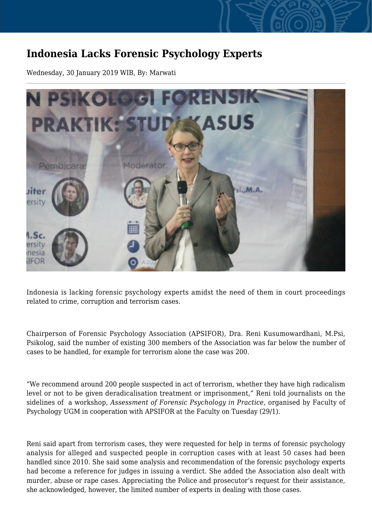## **Indonesia Lacks Forensic Psychology Experts**

Wednesday, 30 January 2019 WIB, By: Marwati



Indonesia is lacking forensic psychology experts amidst the need of them in court proceedings related to crime, corruption and terrorism cases.

Chairperson of Forensic Psychology Association (APSIFOR), Dra. Reni Kusumowardhani, M.Psi, Psikolog, said the number of existing 300 members of the Association was far below the number of cases to be handled, for example for terrorism alone the case was 200.

"We recommend around 200 people suspected in act of terrorism, whether they have high radicalism level or not to be given deradicalisation treatment or imprisonment," Reni told journalists on the sidelines of a workshop, *Assessment of Forensic Psychology in Practice*, organised by Faculty of Psychology UGM in cooperation with APSIFOR at the Faculty on Tuesday (29/1).

Reni said apart from terrorism cases, they were requested for help in terms of forensic psychology analysis for alleged and suspected people in corruption cases with at least 50 cases had been handled since 2010. She said some analysis and recommendation of the forensic psychology experts had become a reference for judges in issuing a verdict. She added the Association also dealt with murder, abuse or rape cases. Appreciating the Police and prosecutor's request for their assistance, she acknowledged, however, the limited number of experts in dealing with those cases.